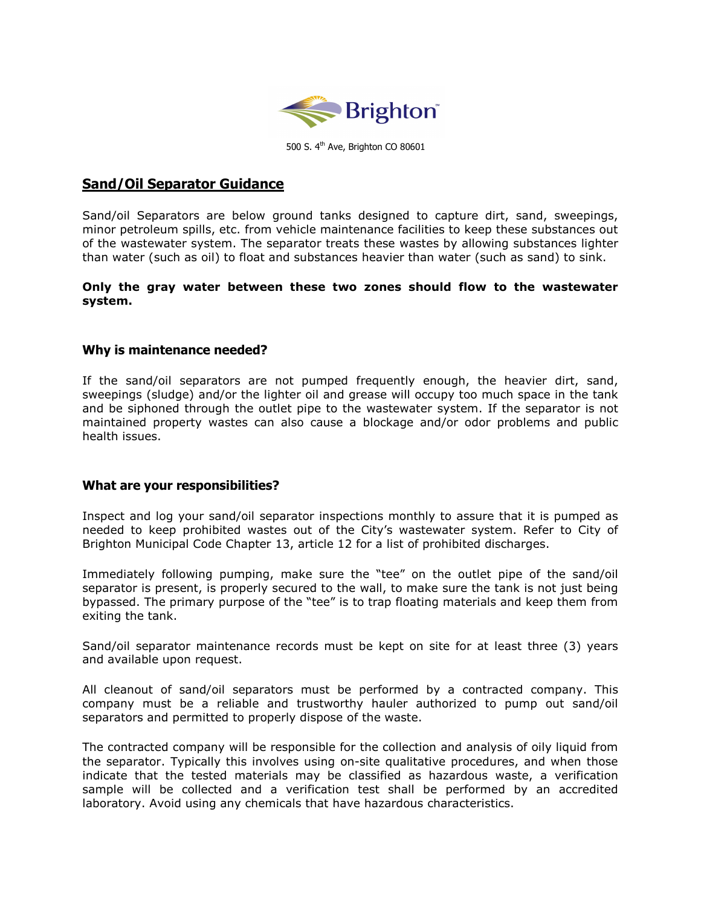

500 S. 4<sup>th</sup> Ave, Brighton CO 80601

# Sand/Oil Separator Guidance

Sand/oil Separators are below ground tanks designed to capture dirt, sand, sweepings, minor petroleum spills, etc. from vehicle maintenance facilities to keep these substances out of the wastewater system. The separator treats these wastes by allowing substances lighter than water (such as oil) to float and substances heavier than water (such as sand) to sink.

### Only the gray water between these two zones should flow to the wastewater system.

## Why is maintenance needed?

If the sand/oil separators are not pumped frequently enough, the heavier dirt, sand, sweepings (sludge) and/or the lighter oil and grease will occupy too much space in the tank and be siphoned through the outlet pipe to the wastewater system. If the separator is not maintained property wastes can also cause a blockage and/or odor problems and public health issues.

### What are your responsibilities?

Inspect and log your sand/oil separator inspections monthly to assure that it is pumped as needed to keep prohibited wastes out of the City's wastewater system. Refer to City of Brighton Municipal Code Chapter 13, article 12 for a list of prohibited discharges.

Immediately following pumping, make sure the "tee" on the outlet pipe of the sand/oil separator is present, is properly secured to the wall, to make sure the tank is not just being bypassed. The primary purpose of the "tee" is to trap floating materials and keep them from exiting the tank.

Sand/oil separator maintenance records must be kept on site for at least three (3) years and available upon request.

All cleanout of sand/oil separators must be performed by a contracted company. This company must be a reliable and trustworthy hauler authorized to pump out sand/oil separators and permitted to properly dispose of the waste.

The contracted company will be responsible for the collection and analysis of oily liquid from the separator. Typically this involves using on-site qualitative procedures, and when those indicate that the tested materials may be classified as hazardous waste, a verification sample will be collected and a verification test shall be performed by an accredited laboratory. Avoid using any chemicals that have hazardous characteristics.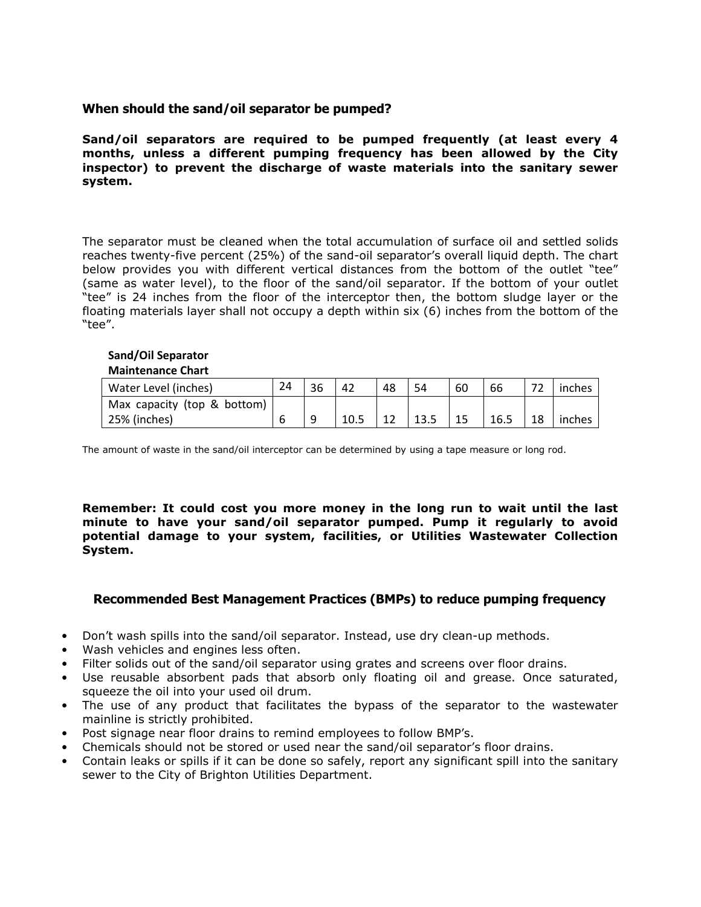## When should the sand/oil separator be pumped?

Sand/oil separators are required to be pumped frequently (at least every 4 months, unless a different pumping frequency has been allowed by the City inspector) to prevent the discharge of waste materials into the sanitary sewer system.

The separator must be cleaned when the total accumulation of surface oil and settled solids reaches twenty-five percent (25%) of the sand-oil separator's overall liquid depth. The chart below provides you with different vertical distances from the bottom of the outlet "tee" (same as water level), to the floor of the sand/oil separator. If the bottom of your outlet "tee" is 24 inches from the floor of the interceptor then, the bottom sludge layer or the floating materials layer shall not occupy a depth within six (6) inches from the bottom of the "tee".

#### Sand/Oil Separator Maintenance Chart

| Water Level (inches)        | 24 | 36 | 42   | 48 | 54 | 60 | 66   | $\overline{\phantom{a}}$ | inches |
|-----------------------------|----|----|------|----|----|----|------|--------------------------|--------|
| Max capacity (top & bottom) |    |    |      |    |    |    |      |                          |        |
| 25% (inches)                |    |    | 10.5 |    |    |    | 16.5 | 18                       | inches |

The amount of waste in the sand/oil interceptor can be determined by using a tape measure or long rod.

Remember: It could cost you more money in the long run to wait until the last minute to have your sand/oil separator pumped. Pump it regularly to avoid potential damage to your system, facilities, or Utilities Wastewater Collection System.

# Recommended Best Management Practices (BMPs) to reduce pumping frequency

- Don't wash spills into the sand/oil separator. Instead, use dry clean-up methods.
- Wash vehicles and engines less often.
- Filter solids out of the sand/oil separator using grates and screens over floor drains.
- Use reusable absorbent pads that absorb only floating oil and grease. Once saturated, squeeze the oil into your used oil drum.
- The use of any product that facilitates the bypass of the separator to the wastewater mainline is strictly prohibited.
- Post signage near floor drains to remind employees to follow BMP's.
- Chemicals should not be stored or used near the sand/oil separator's floor drains.
- Contain leaks or spills if it can be done so safely, report any significant spill into the sanitary sewer to the City of Brighton Utilities Department.